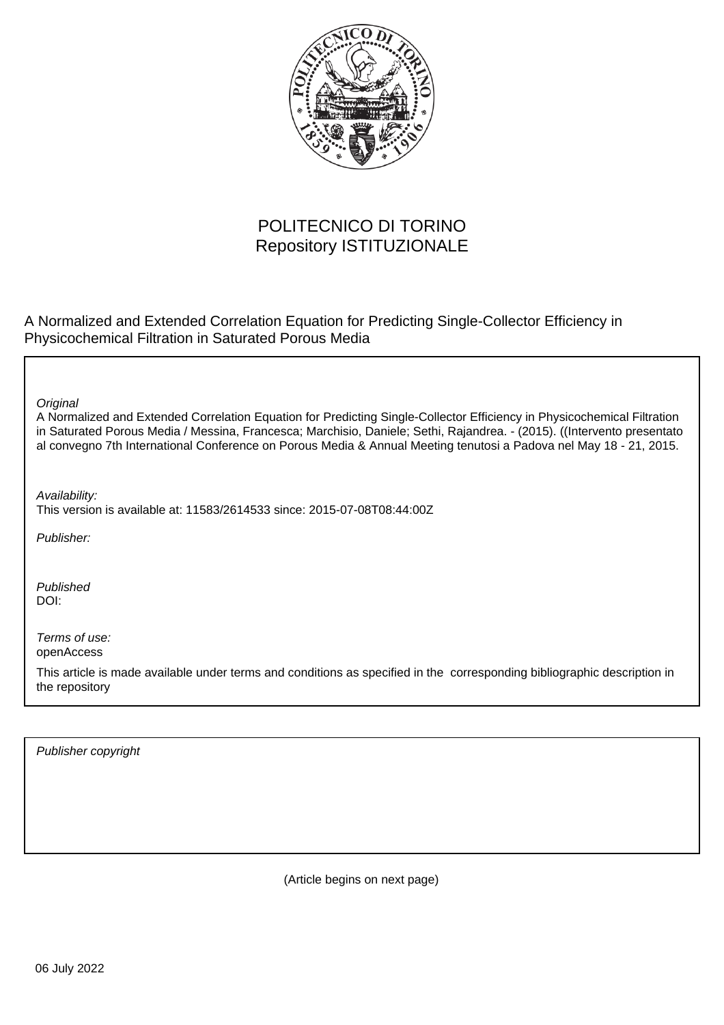

# POLITECNICO DI TORINO Repository ISTITUZIONALE

A Normalized and Extended Correlation Equation for Predicting Single-Collector Efficiency in Physicochemical Filtration in Saturated Porous Media

**Original** 

A Normalized and Extended Correlation Equation for Predicting Single-Collector Efficiency in Physicochemical Filtration in Saturated Porous Media / Messina, Francesca; Marchisio, Daniele; Sethi, Rajandrea. - (2015). ((Intervento presentato al convegno 7th International Conference on Porous Media & Annual Meeting tenutosi a Padova nel May 18 - 21, 2015.

Availability:

This version is available at: 11583/2614533 since: 2015-07-08T08:44:00Z

Publisher:

Published DOI:

Terms of use: openAccess

This article is made available under terms and conditions as specified in the corresponding bibliographic description in the repository

Publisher copyright

(Article begins on next page)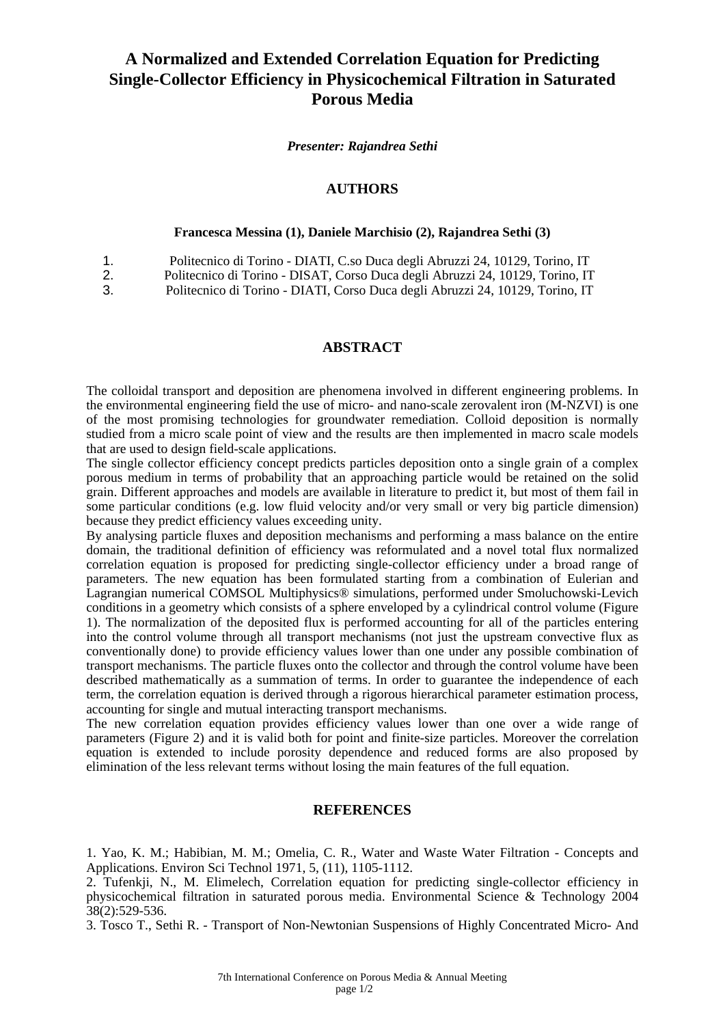## **A Normalized and Extended Correlation Equation for Predicting Single-Collector Efficiency in Physicochemical Filtration in Saturated Porous Media**

*Presenter: Rajandrea Sethi*

## **AUTHORS**

#### **Francesca Messina (1), Daniele Marchisio (2), Rajandrea Sethi (3)**

|  | Politecnico di Torino - DIATI, C.so Duca degli Abruzzi 24, 10129, Torino, IT |  |  |
|--|------------------------------------------------------------------------------|--|--|
|--|------------------------------------------------------------------------------|--|--|

- 2. Politecnico di Torino DISAT, Corso Duca degli Abruzzi 24, 10129, Torino, IT
- 3. Politecnico di Torino DIATI, Corso Duca degli Abruzzi 24, 10129, Torino, IT

## **ABSTRACT**

The colloidal transport and deposition are phenomena involved in different engineering problems. In the environmental engineering field the use of micro- and nano-scale zerovalent iron (M-NZVI) is one of the most promising technologies for groundwater remediation. Colloid deposition is normally studied from a micro scale point of view and the results are then implemented in macro scale models that are used to design field-scale applications.

The single collector efficiency concept predicts particles deposition onto a single grain of a complex porous medium in terms of probability that an approaching particle would be retained on the solid grain. Different approaches and models are available in literature to predict it, but most of them fail in some particular conditions (e.g. low fluid velocity and/or very small or very big particle dimension) because they predict efficiency values exceeding unity.

By analysing particle fluxes and deposition mechanisms and performing a mass balance on the entire domain, the traditional definition of efficiency was reformulated and a novel total flux normalized correlation equation is proposed for predicting single-collector efficiency under a broad range of parameters. The new equation has been formulated starting from a combination of Eulerian and Lagrangian numerical COMSOL Multiphysics® simulations, performed under Smoluchowski-Levich conditions in a geometry which consists of a sphere enveloped by a cylindrical control volume (Figure 1). The normalization of the deposited flux is performed accounting for all of the particles entering into the control volume through all transport mechanisms (not just the upstream convective flux as conventionally done) to provide efficiency values lower than one under any possible combination of transport mechanisms. The particle fluxes onto the collector and through the control volume have been described mathematically as a summation of terms. In order to guarantee the independence of each term, the correlation equation is derived through a rigorous hierarchical parameter estimation process, accounting for single and mutual interacting transport mechanisms.

The new correlation equation provides efficiency values lower than one over a wide range of parameters (Figure 2) and it is valid both for point and finite-size particles. Moreover the correlation equation is extended to include porosity dependence and reduced forms are also proposed by elimination of the less relevant terms without losing the main features of the full equation.

### **REFERENCES**

1. Yao, K. M.; Habibian, M. M.; Omelia, C. R., Water and Waste Water Filtration - Concepts and Applications. Environ Sci Technol 1971, 5, (11), 1105-1112.

3. Tosco T., Sethi R. - Transport of Non-Newtonian Suspensions of Highly Concentrated Micro- And

<sup>2.</sup> Tufenkji, N., M. Elimelech, Correlation equation for predicting single-collector efficiency in physicochemical filtration in saturated porous media. Environmental Science & Technology 2004  $38(2):529-536.$